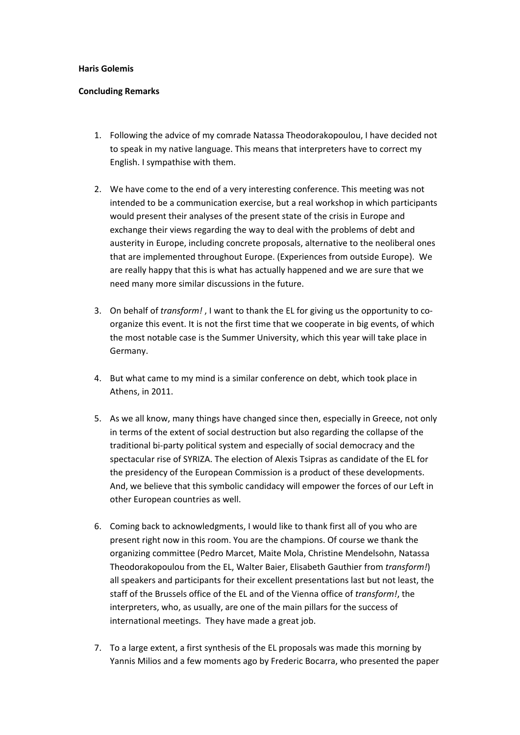## **Haris Golemis**

## **Concluding Remarks**

- 1. Following the advice of my comrade Natassa Theodorakopoulou, I have decided not to speak in my native language. This means that interpreters have to correct my English. I sympathise with them.
- 2. We have come to the end of a very interesting conference. This meeting was not intended to be a communication exercise, but a real workshop in which participants would present their analyses of the present state of the crisis in Europe and exchange their views regarding the way to deal with the problems of debt and austerity in Europe, including concrete proposals, alternative to the neoliberal ones that are implemented throughout Europe. (Experiences from outside Europe). We are really happy that this is what has actually happened and we are sure that we need many more similar discussions in the future.
- 3. On behalf of *transform!* , I want to thank the EL for giving us the opportunity to co‐ organize this event. It is not the first time that we cooperate in big events, of which the most notable case is the Summer University, which this year will take place in Germany.
- 4. But what came to my mind is a similar conference on debt, which took place in Athens, in 2011.
- 5. As we all know, many things have changed since then, especially in Greece, not only in terms of the extent of social destruction but also regarding the collapse of the traditional bi‐party political system and especially of social democracy and the spectacular rise of SYRIZA. The election of Alexis Tsipras as candidate of the EL for the presidency of the European Commission is a product of these developments. And, we believe that this symbolic candidacy will empower the forces of our Left in other European countries as well.
- 6. Coming back to acknowledgments, I would like to thank first all of you who are present right now in this room. You are the champions. Of course we thank the organizing committee (Pedro Marcet, Maite Mola, Christine Mendelsohn, Natassa Theodorakopoulou from the EL, Walter Baier, Elisabeth Gauthier from *transform!*) all speakers and participants for their excellent presentations last but not least, the staff of the Brussels office of the EL and of the Vienna office of *transform!*, the interpreters, who, as usually, are one of the main pillars for the success of international meetings. They have made a great job.
- 7. To a large extent, a first synthesis of the EL proposals was made this morning by Yannis Milios and a few moments ago by Frederic Bocarra, who presented the paper